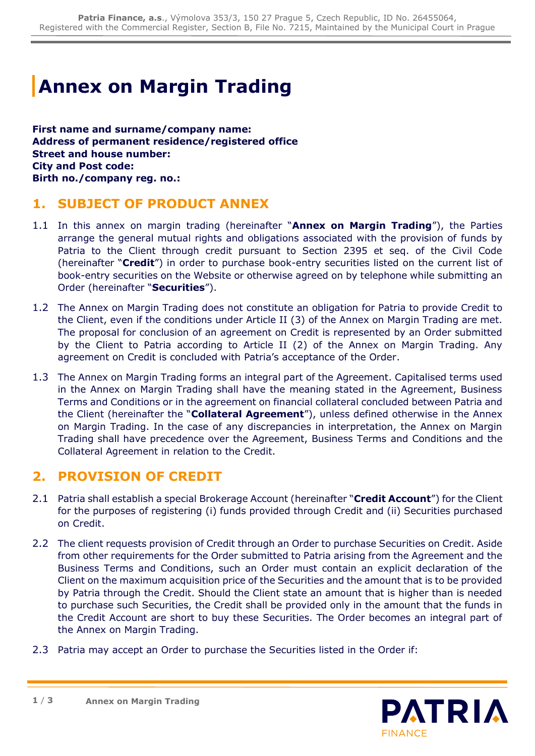## **Annex on Margin Trading**

**First name and surname/company name: Address of permanent residence/registered office Street and house number: City and Post code: Birth no./company reg. no.:** 

## **1. SUBJECT OF PRODUCT ANNEX**

- 1.1 In this annex on margin trading (hereinafter "**Annex on Margin Trading**"), the Parties arrange the general mutual rights and obligations associated with the provision of funds by Patria to the Client through credit pursuant to Section 2395 et seq. of the Civil Code (hereinafter "**Credit**") in order to purchase book-entry securities listed on the current list of book-entry securities on the Website or otherwise agreed on by telephone while submitting an Order (hereinafter "**Securities**").
- 1.2 The Annex on Margin Trading does not constitute an obligation for Patria to provide Credit to the Client, even if the conditions under Article II (3) of the Annex on Margin Trading are met. The proposal for conclusion of an agreement on Credit is represented by an Order submitted by the Client to Patria according to Article II (2) of the Annex on Margin Trading. Any agreement on Credit is concluded with Patria's acceptance of the Order.
- 1.3 The Annex on Margin Trading forms an integral part of the Agreement. Capitalised terms used in the Annex on Margin Trading shall have the meaning stated in the Agreement, Business Terms and Conditions or in the agreement on financial collateral concluded between Patria and the Client (hereinafter the "**Collateral Agreement**"), unless defined otherwise in the Annex on Margin Trading. In the case of any discrepancies in interpretation, the Annex on Margin Trading shall have precedence over the Agreement, Business Terms and Conditions and the Collateral Agreement in relation to the Credit.

## **2. PROVISION OF CREDIT**

- 2.1 Patria shall establish a special Brokerage Account (hereinafter "**Credit Account**") for the Client for the purposes of registering (i) funds provided through Credit and (ii) Securities purchased on Credit.
- 2.2 The client requests provision of Credit through an Order to purchase Securities on Credit. Aside from other requirements for the Order submitted to Patria arising from the Agreement and the Business Terms and Conditions, such an Order must contain an explicit declaration of the Client on the maximum acquisition price of the Securities and the amount that is to be provided by Patria through the Credit. Should the Client state an amount that is higher than is needed to purchase such Securities, the Credit shall be provided only in the amount that the funds in the Credit Account are short to buy these Securities. The Order becomes an integral part of the Annex on Margin Trading.
- 2.3 Patria may accept an Order to purchase the Securities listed in the Order if:

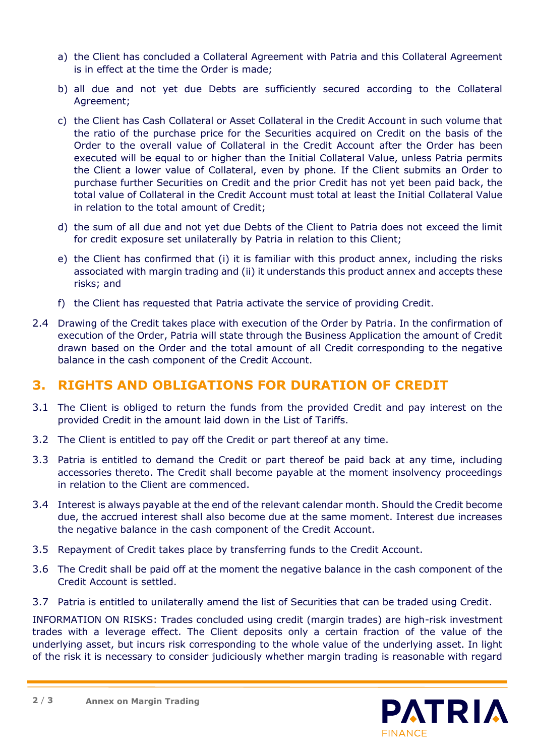- a) the Client has concluded a Collateral Agreement with Patria and this Collateral Agreement is in effect at the time the Order is made;
- b) all due and not yet due Debts are sufficiently secured according to the Collateral Agreement;
- c) the Client has Cash Collateral or Asset Collateral in the Credit Account in such volume that the ratio of the purchase price for the Securities acquired on Credit on the basis of the Order to the overall value of Collateral in the Credit Account after the Order has been executed will be equal to or higher than the Initial Collateral Value, unless Patria permits the Client a lower value of Collateral, even by phone. If the Client submits an Order to purchase further Securities on Credit and the prior Credit has not yet been paid back, the total value of Collateral in the Credit Account must total at least the Initial Collateral Value in relation to the total amount of Credit;
- d) the sum of all due and not yet due Debts of the Client to Patria does not exceed the limit for credit exposure set unilaterally by Patria in relation to this Client;
- e) the Client has confirmed that (i) it is familiar with this product annex, including the risks associated with margin trading and (ii) it understands this product annex and accepts these risks; and
- f) the Client has requested that Patria activate the service of providing Credit.
- 2.4 Drawing of the Credit takes place with execution of the Order by Patria. In the confirmation of execution of the Order, Patria will state through the Business Application the amount of Credit drawn based on the Order and the total amount of all Credit corresponding to the negative balance in the cash component of the Credit Account.

## **3. RIGHTS AND OBLIGATIONS FOR DURATION OF CREDIT**

- 3.1 The Client is obliged to return the funds from the provided Credit and pay interest on the provided Credit in the amount laid down in the List of Tariffs.
- 3.2 The Client is entitled to pay off the Credit or part thereof at any time.
- 3.3 Patria is entitled to demand the Credit or part thereof be paid back at any time, including accessories thereto. The Credit shall become payable at the moment insolvency proceedings in relation to the Client are commenced.
- 3.4 Interest is always payable at the end of the relevant calendar month. Should the Credit become due, the accrued interest shall also become due at the same moment. Interest due increases the negative balance in the cash component of the Credit Account.
- 3.5 Repayment of Credit takes place by transferring funds to the Credit Account.
- 3.6 The Credit shall be paid off at the moment the negative balance in the cash component of the Credit Account is settled.
- 3.7 Patria is entitled to unilaterally amend the list of Securities that can be traded using Credit.

INFORMATION ON RISKS: Trades concluded using credit (margin trades) are high-risk investment trades with a leverage effect. The Client deposits only a certain fraction of the value of the underlying asset, but incurs risk corresponding to the whole value of the underlying asset. In light of the risk it is necessary to consider judiciously whether margin trading is reasonable with regard